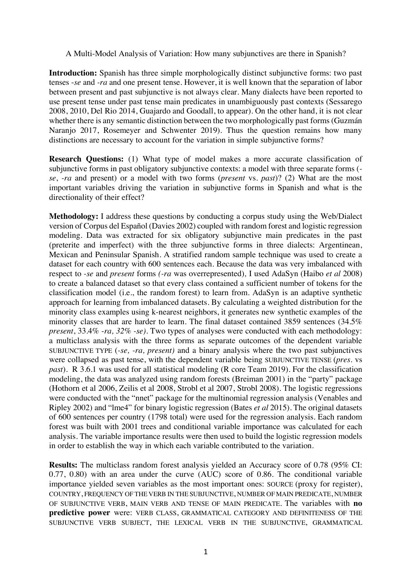A Multi-Model Analysis of Variation: How many subjunctives are there in Spanish?

**Introduction:** Spanish has three simple morphologically distinct subjunctive forms: two past tenses -*se* and *-ra* and one present tense. However, it is well known that the separation of labor between present and past subjunctive is not always clear. Many dialects have been reported to use present tense under past tense main predicates in unambiguously past contexts (Sessarego 2008, 2010, Del Rio 2014, Guajardo and Goodall, to appear). On the other hand, it is not clear whether there is any semantic distinction between the two morphologically past forms (Guzmán Naranjo 2017, Rosemeyer and Schwenter 2019). Thus the question remains how many distinctions are necessary to account for the variation in simple subjunctive forms?

**Research Questions:** (1) What type of model makes a more accurate classification of subjunctive forms in past obligatory subjunctive contexts: a model with three separate forms ( *se*, *-ra* and present) or a model with two forms (*present* vs. *past*)? (2) What are the most important variables driving the variation in subjunctive forms in Spanish and what is the directionality of their effect?

**Methodology:** I address these questions by conducting a corpus study using the Web/Dialect version of Corpus del Español (Davies 2002) coupled with random forest and logistic regression modeling. Data was extracted for six obligatory subjunctive main predicates in the past (preterite and imperfect) with the three subjunctive forms in three dialects: Argentinean, Mexican and Peninsular Spanish. A stratified random sample technique was used to create a dataset for each country with 600 sentences each. Because the data was very imbalanced with respect to *-se* and *present* forms *(-ra* was overrepresented)*,* I used AdaSyn (Haibo *et al* 2008) to create a balanced dataset so that every class contained a sufficient number of tokens for the classification model (i.e., the random forest) to learn from. AdaSyn is an adaptive synthetic approach for learning from imbalanced datasets. By calculating a weighted distribution for the minority class examples using k-nearest neighbors, it generates new synthetic examples of the minority classes that are harder to learn. The final dataset contained 3859 sentences (34.5% *present*, 33.4% -*ra, 32% -se)*. Two types of analyses were conducted with each methodology: a multiclass analysis with the three forms as separate outcomes of the dependent variable SUBJUNCTIVE TYPE (*-se, -ra, present)* and a binary analysis where the two past subjunctives were collapsed as past tense, with the dependent variable being SUBJUNCTIVE TENSE (*pres.* vs *past*). R 3.6.1 was used for all statistical modeling (R core Team 2019). For the classification modeling, the data was analyzed using random forests (Breiman 2001) in the "party" package (Hothorn et al 2006, Zeilis et al 2008, Strobl et al 2007, Strobl 2008). The logistic regressions were conducted with the "nnet" package for the multinomial regression analysis (Venables and Ripley 2002) and "lme4" for binary logistic regression (Bates *et al* 2015). The original datasets of 600 sentences per country (1798 total) were used for the regression analysis. Each random forest was built with 2001 trees and conditional variable importance was calculated for each analysis. The variable importance results were then used to build the logistic regression models in order to establish the way in which each variable contributed to the variation.

**Results:** The multiclass random forest analysis yielded an Accuracy score of 0.78 (95% CI: 0.77, 0.80) with an area under the curve (AUC) score of 0.86. The conditional variable importance yielded seven variables as the most important ones: SOURCE (proxy for register), COUNTRY, FREQUENCY OF THE VERB IN THE SUBJUNCTIVE, NUMBER OF MAIN PREDICATE, NUMBER OF SUBJUNCTIVE VERB, MAIN VERB AND TENSE OF MAIN PREDICATE. The variables with **no predictive power** were: VERB CLASS, GRAMMATICAL CATEGORY AND DEFINITENESS OF THE SUBJUNCTIVE VERB SUBJECT, THE LEXICAL VERB IN THE SUBJUNCTIVE, GRAMMATICAL